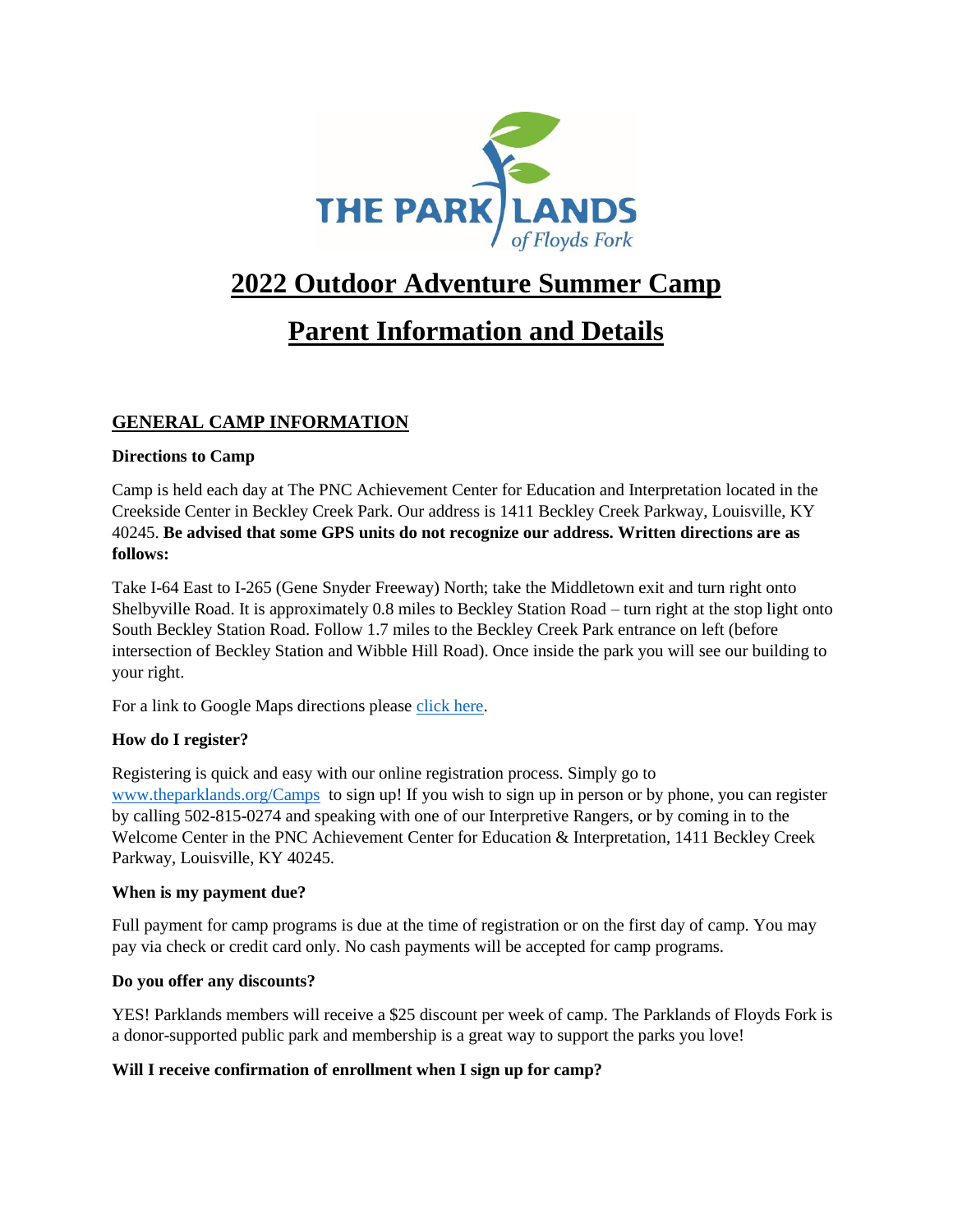

# **2022 Outdoor Adventure Summer Camp**

# **Parent Information and Details**

# **GENERAL CAMP INFORMATION**

## **Directions to Camp**

Camp is held each day at The PNC Achievement Center for Education and Interpretation located in the Creekside Center in Beckley Creek Park. Our address is 1411 Beckley Creek Parkway, Louisville, KY 40245. **Be advised that some GPS units do not recognize our address. Written directions are as follows:**

Take I-64 East to I-265 (Gene Snyder Freeway) North; take the Middletown exit and turn right onto Shelbyville Road. It is approximately 0.8 miles to Beckley Station Road – turn right at the stop light onto South Beckley Station Road. Follow 1.7 miles to the Beckley Creek Park entrance on left (before intersection of Beckley Station and Wibble Hill Road). Once inside the park you will see our building to your right.

For a link to Google Maps directions please [click here.](https://www.google.com/maps/place/38.21740657,-85.4768735)

## **How do I register?**

Registering is quick and easy with our online registration process. Simply go to [www.theparklands.org/Camps](http://www.theparklands.org/Camps) to sign up! If you wish to sign up in person or by phone, you can register by calling 502-815-0274 and speaking with one of our Interpretive Rangers, or by coming in to the Welcome Center in the PNC Achievement Center for Education & Interpretation, 1411 Beckley Creek Parkway, Louisville, KY 40245.

## **When is my payment due?**

Full payment for camp programs is due at the time of registration or on the first day of camp. You may pay via check or credit card only. No cash payments will be accepted for camp programs.

## **Do you offer any discounts?**

YES! Parklands members will receive a \$25 discount per week of camp. The Parklands of Floyds Fork is a donor-supported public park and membership is a great way to support the parks you love!

## **Will I receive confirmation of enrollment when I sign up for camp?**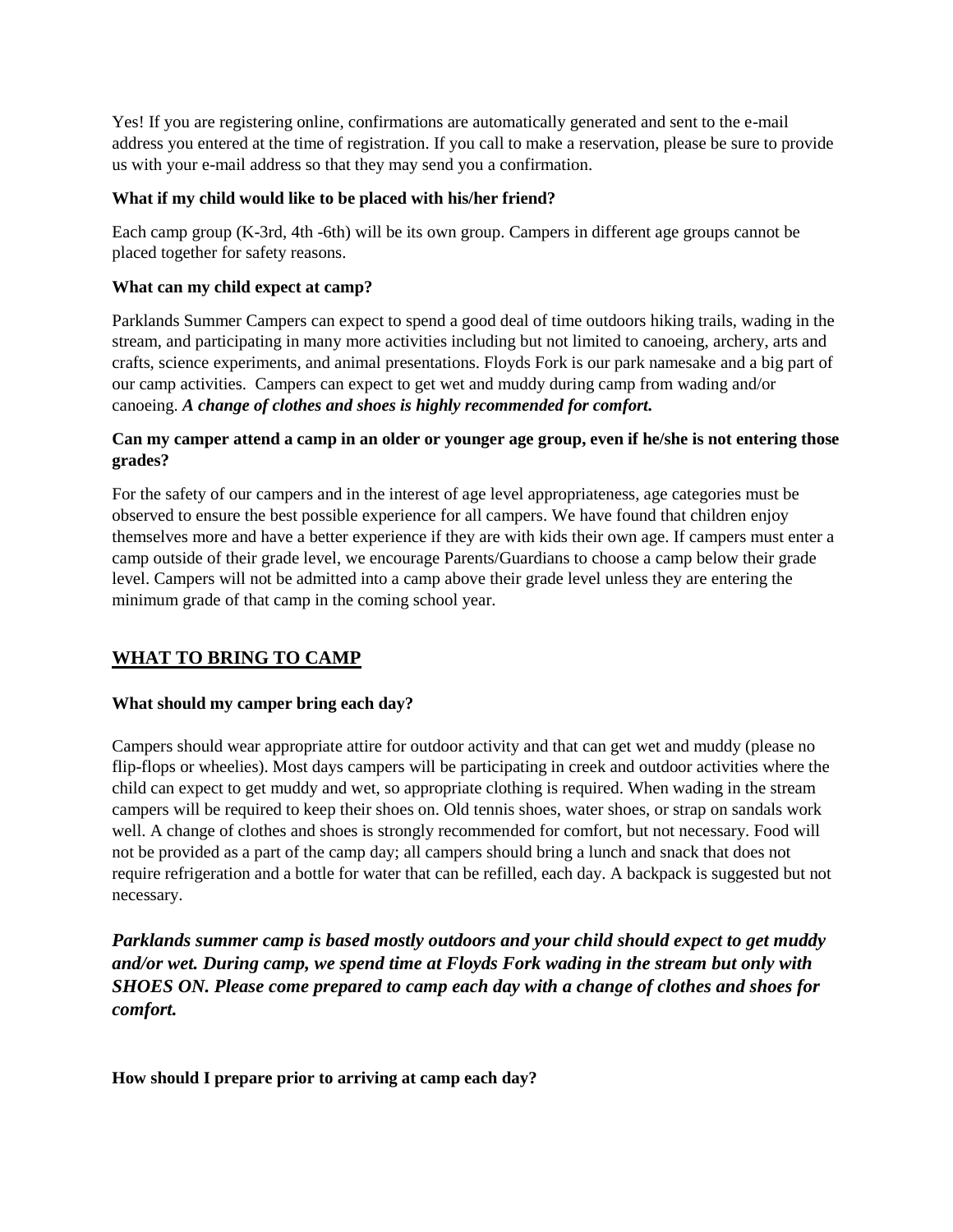Yes! If you are registering online, confirmations are automatically generated and sent to the e-mail address you entered at the time of registration. If you call to make a reservation, please be sure to provide us with your e-mail address so that they may send you a confirmation.

#### **What if my child would like to be placed with his/her friend?**

Each camp group (K-3rd, 4th -6th) will be its own group. Campers in different age groups cannot be placed together for safety reasons.

#### **What can my child expect at camp?**

Parklands Summer Campers can expect to spend a good deal of time outdoors hiking trails, wading in the stream, and participating in many more activities including but not limited to canoeing, archery, arts and crafts, science experiments, and animal presentations. Floyds Fork is our park namesake and a big part of our camp activities. Campers can expect to get wet and muddy during camp from wading and/or canoeing. *A change of clothes and shoes is highly recommended for comfort.* 

#### **Can my camper attend a camp in an older or younger age group, even if he/she is not entering those grades?**

For the safety of our campers and in the interest of age level appropriateness, age categories must be observed to ensure the best possible experience for all campers. We have found that children enjoy themselves more and have a better experience if they are with kids their own age. If campers must enter a camp outside of their grade level, we encourage Parents/Guardians to choose a camp below their grade level. Campers will not be admitted into a camp above their grade level unless they are entering the minimum grade of that camp in the coming school year.

## **WHAT TO BRING TO CAMP**

#### **What should my camper bring each day?**

Campers should wear appropriate attire for outdoor activity and that can get wet and muddy (please no flip-flops or wheelies). Most days campers will be participating in creek and outdoor activities where the child can expect to get muddy and wet, so appropriate clothing is required. When wading in the stream campers will be required to keep their shoes on. Old tennis shoes, water shoes, or strap on sandals work well. A change of clothes and shoes is strongly recommended for comfort, but not necessary. Food will not be provided as a part of the camp day; all campers should bring a lunch and snack that does not require refrigeration and a bottle for water that can be refilled, each day. A backpack is suggested but not necessary.

*Parklands summer camp is based mostly outdoors and your child should expect to get muddy and/or wet. During camp, we spend time at Floyds Fork wading in the stream but only with SHOES ON. Please come prepared to camp each day with a change of clothes and shoes for comfort.* 

**How should I prepare prior to arriving at camp each day?**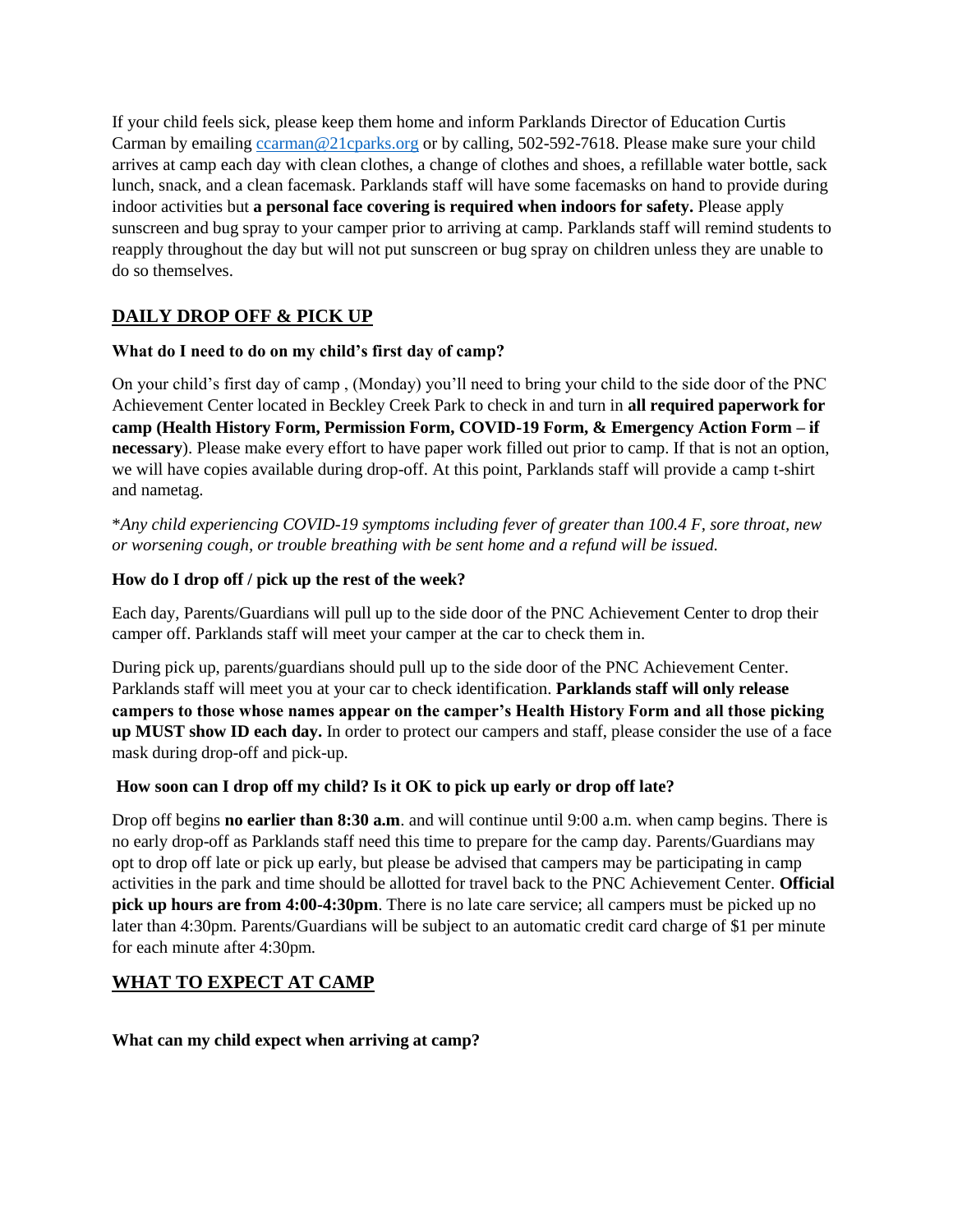If your child feels sick, please keep them home and inform Parklands Director of Education Curtis Carman by emailing [ccarman@21cparks.org](mailto:ccarman@21cparks.org) or by calling, 502-592-7618. Please make sure your child arrives at camp each day with clean clothes, a change of clothes and shoes, a refillable water bottle, sack lunch, snack, and a clean facemask. Parklands staff will have some facemasks on hand to provide during indoor activities but **a personal face covering is required when indoors for safety.** Please apply sunscreen and bug spray to your camper prior to arriving at camp. Parklands staff will remind students to reapply throughout the day but will not put sunscreen or bug spray on children unless they are unable to do so themselves.

# **DAILY DROP OFF & PICK UP**

## **What do I need to do on my child's first day of camp?**

On your child's first day of camp , (Monday) you'll need to bring your child to the side door of the PNC Achievement Center located in Beckley Creek Park to check in and turn in **all required paperwork for camp (Health History Form, Permission Form, COVID-19 Form, & Emergency Action Form – if necessary**). Please make every effort to have paper work filled out prior to camp. If that is not an option, we will have copies available during drop-off. At this point, Parklands staff will provide a camp t-shirt and nametag.

\**Any child experiencing COVID-19 symptoms including fever of greater than 100.4 F, sore throat, new or worsening cough, or trouble breathing with be sent home and a refund will be issued.* 

## **How do I drop off / pick up the rest of the week?**

Each day, Parents/Guardians will pull up to the side door of the PNC Achievement Center to drop their camper off. Parklands staff will meet your camper at the car to check them in.

During pick up, parents/guardians should pull up to the side door of the PNC Achievement Center. Parklands staff will meet you at your car to check identification. **Parklands staff will only release campers to those whose names appear on the camper's Health History Form and all those picking up MUST show ID each day.** In order to protect our campers and staff, please consider the use of a face mask during drop-off and pick-up.

## **How soon can I drop off my child? Is it OK to pick up early or drop off late?**

Drop off begins **no earlier than 8:30 a.m**. and will continue until 9:00 a.m. when camp begins. There is no early drop-off as Parklands staff need this time to prepare for the camp day. Parents/Guardians may opt to drop off late or pick up early, but please be advised that campers may be participating in camp activities in the park and time should be allotted for travel back to the PNC Achievement Center. **Official pick up hours are from 4:00-4:30pm**. There is no late care service; all campers must be picked up no later than 4:30pm. Parents/Guardians will be subject to an automatic credit card charge of \$1 per minute for each minute after 4:30pm.

## **WHAT TO EXPECT AT CAMP**

## **What can my child expect when arriving at camp?**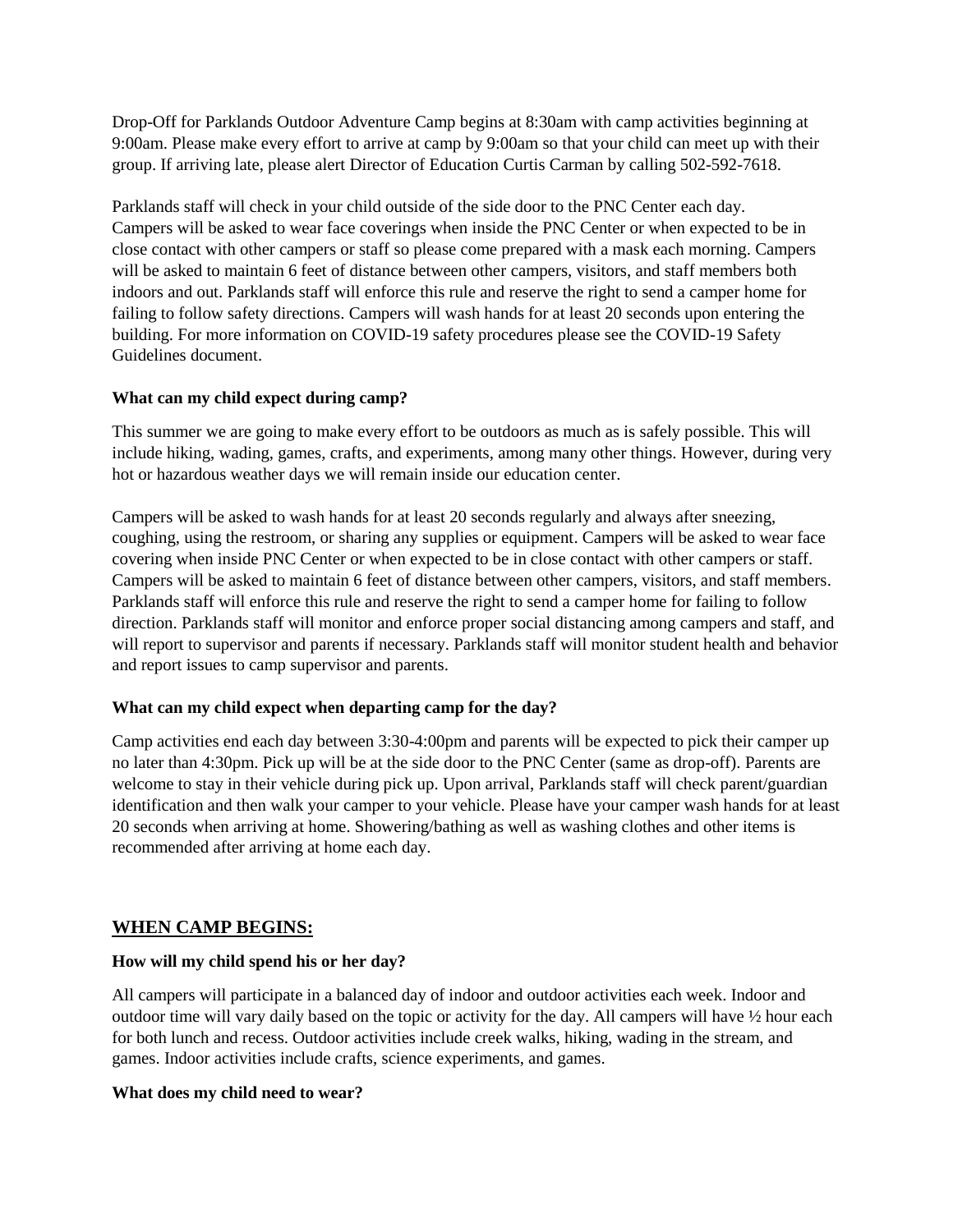Drop-Off for Parklands Outdoor Adventure Camp begins at 8:30am with camp activities beginning at 9:00am. Please make every effort to arrive at camp by 9:00am so that your child can meet up with their group. If arriving late, please alert Director of Education Curtis Carman by calling 502-592-7618.

Parklands staff will check in your child outside of the side door to the PNC Center each day. Campers will be asked to wear face coverings when inside the PNC Center or when expected to be in close contact with other campers or staff so please come prepared with a mask each morning. Campers will be asked to maintain 6 feet of distance between other campers, visitors, and staff members both indoors and out. Parklands staff will enforce this rule and reserve the right to send a camper home for failing to follow safety directions. Campers will wash hands for at least 20 seconds upon entering the building. For more information on COVID-19 safety procedures please see the COVID-19 Safety Guidelines document.

## **What can my child expect during camp?**

This summer we are going to make every effort to be outdoors as much as is safely possible. This will include hiking, wading, games, crafts, and experiments, among many other things. However, during very hot or hazardous weather days we will remain inside our education center.

Campers will be asked to wash hands for at least 20 seconds regularly and always after sneezing, coughing, using the restroom, or sharing any supplies or equipment. Campers will be asked to wear face covering when inside PNC Center or when expected to be in close contact with other campers or staff. Campers will be asked to maintain 6 feet of distance between other campers, visitors, and staff members. Parklands staff will enforce this rule and reserve the right to send a camper home for failing to follow direction. Parklands staff will monitor and enforce proper social distancing among campers and staff, and will report to supervisor and parents if necessary. Parklands staff will monitor student health and behavior and report issues to camp supervisor and parents.

## **What can my child expect when departing camp for the day?**

Camp activities end each day between 3:30-4:00pm and parents will be expected to pick their camper up no later than 4:30pm. Pick up will be at the side door to the PNC Center (same as drop-off). Parents are welcome to stay in their vehicle during pick up. Upon arrival, Parklands staff will check parent/guardian identification and then walk your camper to your vehicle. Please have your camper wash hands for at least 20 seconds when arriving at home. Showering/bathing as well as washing clothes and other items is recommended after arriving at home each day.

## **WHEN CAMP BEGINS:**

## **How will my child spend his or her day?**

All campers will participate in a balanced day of indoor and outdoor activities each week. Indoor and outdoor time will vary daily based on the topic or activity for the day. All campers will have ½ hour each for both lunch and recess. Outdoor activities include creek walks, hiking, wading in the stream, and games. Indoor activities include crafts, science experiments, and games.

## **What does my child need to wear?**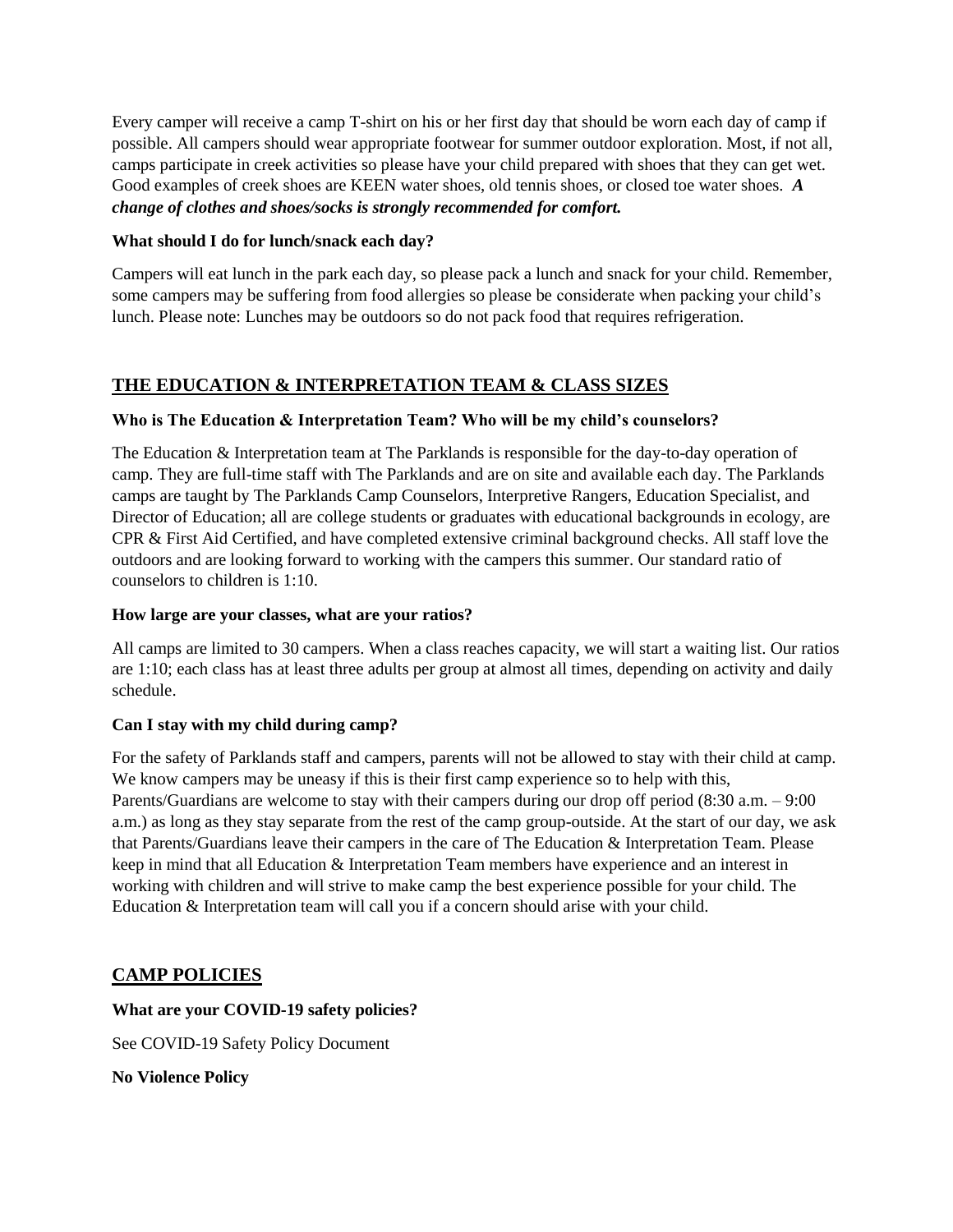Every camper will receive a camp T-shirt on his or her first day that should be worn each day of camp if possible. All campers should wear appropriate footwear for summer outdoor exploration. Most, if not all, camps participate in creek activities so please have your child prepared with shoes that they can get wet. Good examples of creek shoes are KEEN water shoes, old tennis shoes, or closed toe water shoes. *A change of clothes and shoes/socks is strongly recommended for comfort.*

#### **What should I do for lunch/snack each day?**

Campers will eat lunch in the park each day, so please pack a lunch and snack for your child. Remember, some campers may be suffering from food allergies so please be considerate when packing your child's lunch. Please note: Lunches may be outdoors so do not pack food that requires refrigeration.

## **THE EDUCATION & INTERPRETATION TEAM & CLASS SIZES**

## **Who is The Education & Interpretation Team? Who will be my child's counselors?**

The Education & Interpretation team at The Parklands is responsible for the day-to-day operation of camp. They are full-time staff with The Parklands and are on site and available each day. The Parklands camps are taught by The Parklands Camp Counselors, Interpretive Rangers, Education Specialist, and Director of Education; all are college students or graduates with educational backgrounds in ecology, are CPR & First Aid Certified, and have completed extensive criminal background checks. All staff love the outdoors and are looking forward to working with the campers this summer. Our standard ratio of counselors to children is 1:10.

#### **How large are your classes, what are your ratios?**

All camps are limited to 30 campers. When a class reaches capacity, we will start a waiting list. Our ratios are 1:10; each class has at least three adults per group at almost all times, depending on activity and daily schedule.

## **Can I stay with my child during camp?**

For the safety of Parklands staff and campers, parents will not be allowed to stay with their child at camp. We know campers may be uneasy if this is their first camp experience so to help with this, Parents/Guardians are welcome to stay with their campers during our drop off period (8:30 a.m. – 9:00 a.m.) as long as they stay separate from the rest of the camp group-outside. At the start of our day, we ask that Parents/Guardians leave their campers in the care of The Education & Interpretation Team. Please keep in mind that all Education & Interpretation Team members have experience and an interest in working with children and will strive to make camp the best experience possible for your child. The Education & Interpretation team will call you if a concern should arise with your child.

## **CAMP POLICIES**

## **What are your COVID-19 safety policies?**

See COVID-19 Safety Policy Document

**No Violence Policy**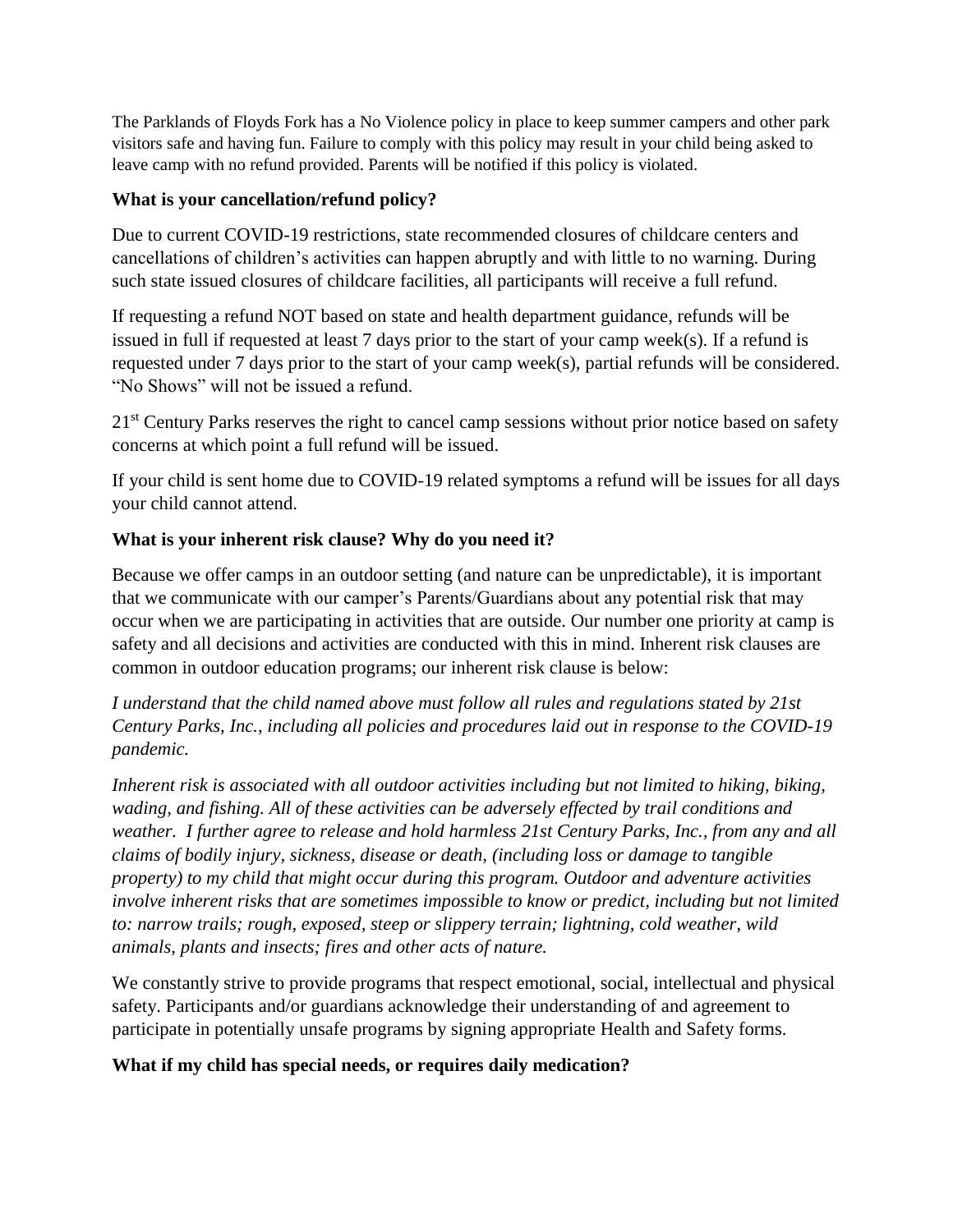The Parklands of Floyds Fork has a No Violence policy in place to keep summer campers and other park visitors safe and having fun. Failure to comply with this policy may result in your child being asked to leave camp with no refund provided. Parents will be notified if this policy is violated.

## **What is your cancellation/refund policy?**

Due to current COVID-19 restrictions, state recommended closures of childcare centers and cancellations of children's activities can happen abruptly and with little to no warning. During such state issued closures of childcare facilities, all participants will receive a full refund.

If requesting a refund NOT based on state and health department guidance, refunds will be issued in full if requested at least 7 days prior to the start of your camp week(s). If a refund is requested under 7 days prior to the start of your camp week(s), partial refunds will be considered. "No Shows" will not be issued a refund.

21<sup>st</sup> Century Parks reserves the right to cancel camp sessions without prior notice based on safety concerns at which point a full refund will be issued.

If your child is sent home due to COVID-19 related symptoms a refund will be issues for all days your child cannot attend.

## **What is your inherent risk clause? Why do you need it?**

Because we offer camps in an outdoor setting (and nature can be unpredictable), it is important that we communicate with our camper's Parents/Guardians about any potential risk that may occur when we are participating in activities that are outside. Our number one priority at camp is safety and all decisions and activities are conducted with this in mind. Inherent risk clauses are common in outdoor education programs; our inherent risk clause is below:

*I understand that the child named above must follow all rules and regulations stated by 21st Century Parks, Inc., including all policies and procedures laid out in response to the COVID-19 pandemic.* 

*Inherent risk is associated with all outdoor activities including but not limited to hiking, biking, wading, and fishing. All of these activities can be adversely effected by trail conditions and weather. I further agree to release and hold harmless 21st Century Parks, Inc., from any and all claims of bodily injury, sickness, disease or death, (including loss or damage to tangible property) to my child that might occur during this program. Outdoor and adventure activities involve inherent risks that are sometimes impossible to know or predict, including but not limited to: narrow trails; rough, exposed, steep or slippery terrain; lightning, cold weather, wild animals, plants and insects; fires and other acts of nature.* 

We constantly strive to provide programs that respect emotional, social, intellectual and physical safety. Participants and/or guardians acknowledge their understanding of and agreement to participate in potentially unsafe programs by signing appropriate Health and Safety forms.

# **What if my child has special needs, or requires daily medication?**